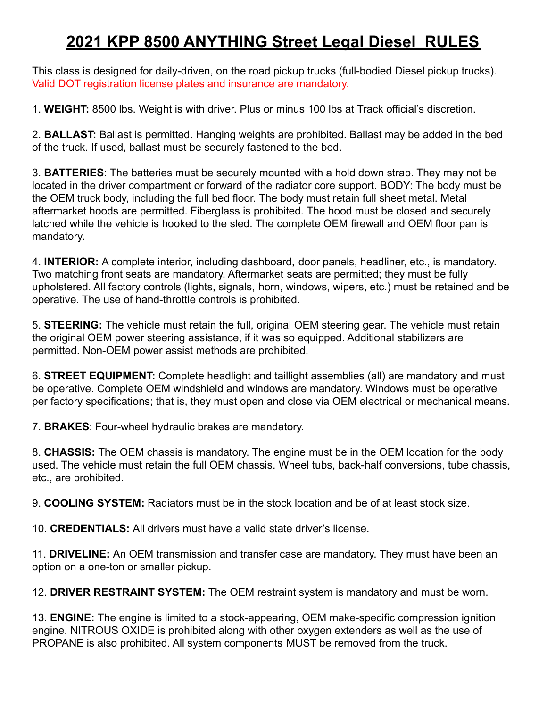## **2021 KPP 8500 ANYTHING Street Legal Diesel RULES**

This class is designed for daily-driven, on the road pickup trucks (full-bodied Diesel pickup trucks). Valid DOT registration license plates and insurance are mandatory.

1. **WEIGHT:** 8500 lbs. Weight is with driver. Plus or minus 100 lbs at Track official's discretion.

2. **BALLAST:** Ballast is permitted. Hanging weights are prohibited. Ballast may be added in the bed of the truck. If used, ballast must be securely fastened to the bed.

3. **BATTERIES**: The batteries must be securely mounted with a hold down strap. They may not be located in the driver compartment or forward of the radiator core support. BODY: The body must be the OEM truck body, including the full bed floor. The body must retain full sheet metal. Metal aftermarket hoods are permitted. Fiberglass is prohibited. The hood must be closed and securely latched while the vehicle is hooked to the sled. The complete OEM firewall and OEM floor pan is mandatory.

4. **INTERIOR:** A complete interior, including dashboard, door panels, headliner, etc., is mandatory. Two matching front seats are mandatory. Aftermarket seats are permitted; they must be fully upholstered. All factory controls (lights, signals, horn, windows, wipers, etc.) must be retained and be operative. The use of hand-throttle controls is prohibited.

5. **STEERING:** The vehicle must retain the full, original OEM steering gear. The vehicle must retain the original OEM power steering assistance, if it was so equipped. Additional stabilizers are permitted. Non-OEM power assist methods are prohibited.

6. **STREET EQUIPMENT:** Complete headlight and taillight assemblies (all) are mandatory and must be operative. Complete OEM windshield and windows are mandatory. Windows must be operative per factory specifications; that is, they must open and close via OEM electrical or mechanical means.

7. **BRAKES**: Four-wheel hydraulic brakes are mandatory.

8. **CHASSIS:** The OEM chassis is mandatory. The engine must be in the OEM location for the body used. The vehicle must retain the full OEM chassis. Wheel tubs, back-half conversions, tube chassis, etc., are prohibited.

9. **COOLING SYSTEM:** Radiators must be in the stock location and be of at least stock size.

10. **CREDENTIALS:** All drivers must have a valid state driver's license.

11. **DRIVELINE:** An OEM transmission and transfer case are mandatory. They must have been an option on a one-ton or smaller pickup.

12. **DRIVER RESTRAINT SYSTEM:** The OEM restraint system is mandatory and must be worn.

13. **ENGINE:** The engine is limited to a stock-appearing, OEM make-specific compression ignition engine. NITROUS OXIDE is prohibited along with other oxygen extenders as well as the use of PROPANE is also prohibited. All system components MUST be removed from the truck.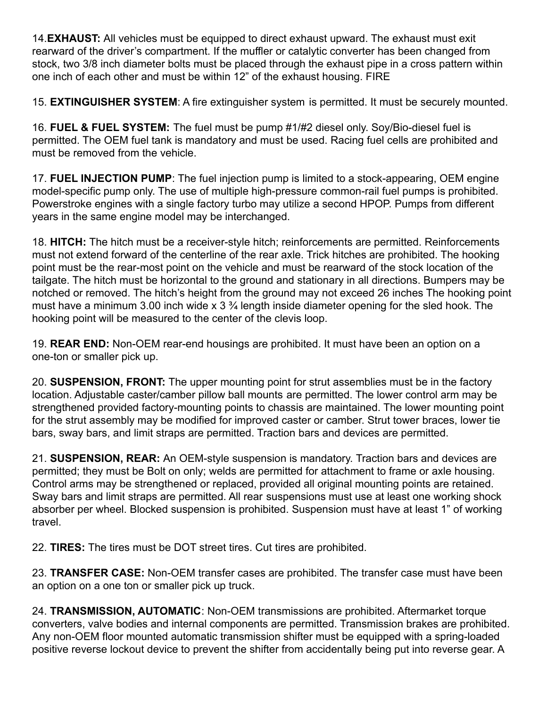14.**EXHAUST:** All vehicles must be equipped to direct exhaust upward. The exhaust must exit rearward of the driver's compartment. If the muffler or catalytic converter has been changed from stock, two 3/8 inch diameter bolts must be placed through the exhaust pipe in a cross pattern within one inch of each other and must be within 12" of the exhaust housing. FIRE

15. **EXTINGUISHER SYSTEM**: A fire extinguisher system is permitted. It must be securely mounted.

16. **FUEL & FUEL SYSTEM:** The fuel must be pump #1/#2 diesel only. Soy/Bio-diesel fuel is permitted. The OEM fuel tank is mandatory and must be used. Racing fuel cells are prohibited and must be removed from the vehicle.

17. **FUEL INJECTION PUMP**: The fuel injection pump is limited to a stock-appearing, OEM engine model-specific pump only. The use of multiple high-pressure common-rail fuel pumps is prohibited. Powerstroke engines with a single factory turbo may utilize a second HPOP. Pumps from different years in the same engine model may be interchanged.

18. **HITCH:** The hitch must be a receiver-style hitch; reinforcements are permitted. Reinforcements must not extend forward of the centerline of the rear axle. Trick hitches are prohibited. The hooking point must be the rear-most point on the vehicle and must be rearward of the stock location of the tailgate. The hitch must be horizontal to the ground and stationary in all directions. Bumpers may be notched or removed. The hitch's height from the ground may not exceed 26 inches The hooking point must have a minimum 3.00 inch wide x  $3\frac{3}{4}$  length inside diameter opening for the sled hook. The hooking point will be measured to the center of the clevis loop.

19. **REAR END:** Non-OEM rear-end housings are prohibited. It must have been an option on a one-ton or smaller pick up.

20. **SUSPENSION, FRONT:** The upper mounting point for strut assemblies must be in the factory location. Adjustable caster/camber pillow ball mounts are permitted. The lower control arm may be strengthened provided factory-mounting points to chassis are maintained. The lower mounting point for the strut assembly may be modified for improved caster or camber. Strut tower braces, lower tie bars, sway bars, and limit straps are permitted. Traction bars and devices are permitted.

21. **SUSPENSION, REAR:** An OEM-style suspension is mandatory. Traction bars and devices are permitted; they must be Bolt on only; welds are permitted for attachment to frame or axle housing. Control arms may be strengthened or replaced, provided all original mounting points are retained. Sway bars and limit straps are permitted. All rear suspensions must use at least one working shock absorber per wheel. Blocked suspension is prohibited. Suspension must have at least 1" of working travel.

22. **TIRES:** The tires must be DOT street tires. Cut tires are prohibited.

23. **TRANSFER CASE:** Non-OEM transfer cases are prohibited. The transfer case must have been an option on a one ton or smaller pick up truck.

24. **TRANSMISSION, AUTOMATIC**: Non-OEM transmissions are prohibited. Aftermarket torque converters, valve bodies and internal components are permitted. Transmission brakes are prohibited. Any non-OEM floor mounted automatic transmission shifter must be equipped with a spring-loaded positive reverse lockout device to prevent the shifter from accidentally being put into reverse gear. A